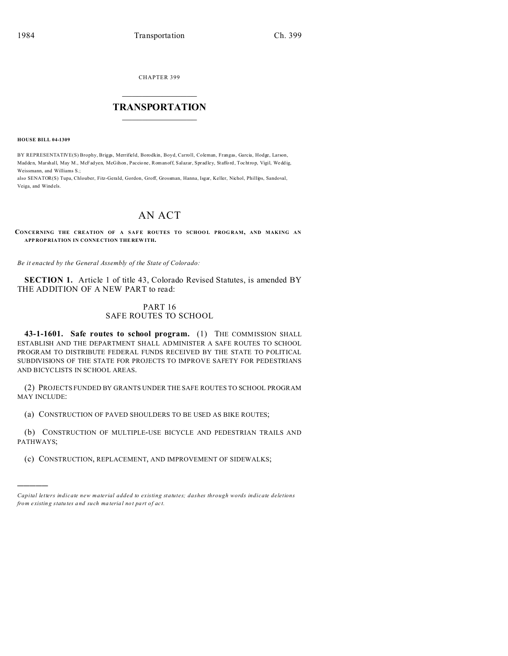CHAPTER 399  $\overline{\phantom{a}}$  , where  $\overline{\phantom{a}}$ 

## **TRANSPORTATION**  $\_$   $\_$   $\_$   $\_$   $\_$   $\_$   $\_$   $\_$   $\_$

**HOUSE BILL 04-1309**

)))))

BY REPRESENTATIVE(S) Brophy, Briggs, Merrifield, Borodkin, Boyd, Carroll, Coleman, Frangas, Garcia, Hodge, Larson, Madden, Marshall, May M., McFadyen, McGihon , Paccio ne , Romanoff, Salazar, Spradley, Staffo rd, Tochtrop, Vigil, Wedd ig, Weissmann, and Williams S.;

also SENATOR(S) Tupa, Chlouber, Fitz-Gerald, Gordon, Groff, Grossman, Hanna, Isgar, Keller, Nichol, Phillips, Sandoval, Veiga, and Windels.

## AN ACT

**CONCERNING THE CREATION OF A SAF E ROUTES TO SCHOO L PROG RAM, AND MAKING AN APP ROP RIATION IN CONNE CTION THE REW ITH.**

*Be it enacted by the General Assembly of the State of Colorado:*

**SECTION 1.** Article 1 of title 43, Colorado Revised Statutes, is amended BY THE ADDITION OF A NEW PART to read:

## PART 16 SAFE ROUTES TO SCHOOL

**43-1-1601. Safe routes to school program.** (1) THE COMMISSION SHALL ESTABLISH AND THE DEPARTMENT SHALL ADMINISTER A SAFE ROUTES TO SCHOOL PROGRAM TO DISTRIBUTE FEDERAL FUNDS RECEIVED BY THE STATE TO POLITICAL SUBDIVISIONS OF THE STATE FOR PROJECTS TO IMPROVE SAFETY FOR PEDESTRIANS AND BICYCLISTS IN SCHOOL AREAS.

(2) PROJECTS FUNDED BY GRANTS UNDER THE SAFE ROUTES TO SCHOOL PROGRAM MAY INCLUDE:

(a) CONSTRUCTION OF PAVED SHOULDERS TO BE USED AS BIKE ROUTES;

(b) CONSTRUCTION OF MULTIPLE-USE BICYCLE AND PEDESTRIAN TRAILS AND PATHWAYS;

(c) CONSTRUCTION, REPLACEMENT, AND IMPROVEMENT OF SIDEWALKS;

*Capital letters indicate new material added to existing statutes; dashes through words indicate deletions from e xistin g statu tes a nd such ma teria l no t pa rt of ac t.*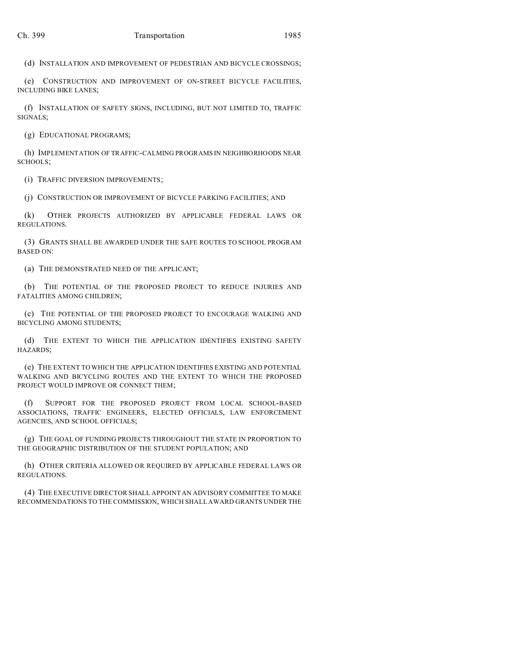(d) INSTALLATION AND IMPROVEMENT OF PEDESTRIAN AND BICYCLE CROSSINGS;

(e) CONSTRUCTION AND IMPROVEMENT OF ON-STREET BICYCLE FACILITIES, INCLUDING BIKE LANES;

(f) INSTALLATION OF SAFETY SIGNS, INCLUDING, BUT NOT LIMITED TO, TRAFFIC SIGNALS;

(g) EDUCATIONAL PROGRAMS;

(h) IMPLEMENTATION OF TRAFFIC-CALMING PROGRAMS IN NEIGHBORHOODS NEAR SCHOOLS;

(i) TRAFFIC DIVERSION IMPROVEMENTS;

(j) CONSTRUCTION OR IMPROVEMENT OF BICYCLE PARKING FACILITIES; AND

(k) OTHER PROJECTS AUTHORIZED BY APPLICABLE FEDERAL LAWS OR REGULATIONS.

(3) GRANTS SHALL BE AWARDED UNDER THE SAFE ROUTES TO SCHOOL PROGRAM BASED ON:

(a) THE DEMONSTRATED NEED OF THE APPLICANT;

(b) THE POTENTIAL OF THE PROPOSED PROJECT TO REDUCE INJURIES AND FATALITIES AMONG CHILDREN;

(c) THE POTENTIAL OF THE PROPOSED PROJECT TO ENCOURAGE WALKING AND BICYCLING AMONG STUDENTS;

(d) THE EXTENT TO WHICH THE APPLICATION IDENTIFIES EXISTING SAFETY HAZARDS;

(e) THE EXTENT TO WHICH THE APPLICATION IDENTIFIES EXISTING AND POTENTIAL WALKING AND BICYCLING ROUTES AND THE EXTENT TO WHICH THE PROPOSED PROJECT WOULD IMPROVE OR CONNECT THEM;

(f) SUPPORT FOR THE PROPOSED PROJECT FROM LOCAL SCHOOL-BASED ASSOCIATIONS, TRAFFIC ENGINEERS, ELECTED OFFICIALS, LAW ENFORCEMENT AGENCIES, AND SCHOOL OFFICIALS;

(g) THE GOAL OF FUNDING PROJECTS THROUGHOUT THE STATE IN PROPORTION TO THE GEOGRAPHIC DISTRIBUTION OF THE STUDENT POPULATION; AND

(h) OTHER CRITERIA ALLOWED OR REQUIRED BY APPLICABLE FEDERAL LAWS OR REGULATIONS.

(4) THE EXECUTIVE DIRECTOR SHALL APPOINT AN ADVISORY COMMITTEE TO MAKE RECOMMENDATIONS TO THE COMMISSION, WHICH SHALL AWARD GRANTS UNDER THE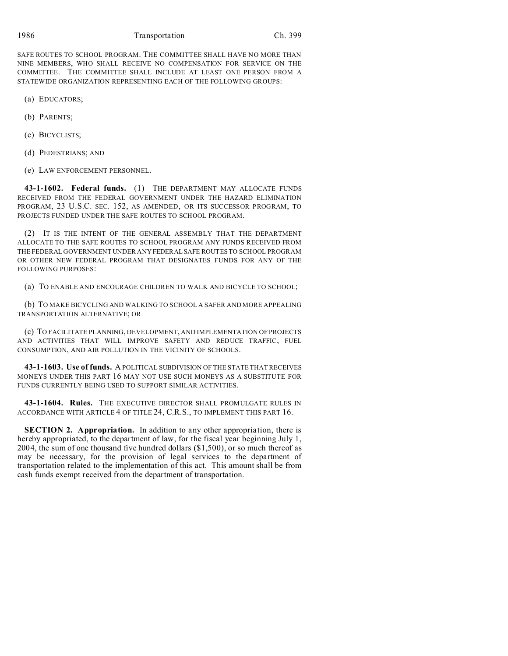SAFE ROUTES TO SCHOOL PROGRAM. THE COMMITTEE SHALL HAVE NO MORE THAN NINE MEMBERS, WHO SHALL RECEIVE NO COMPENSATION FOR SERVICE ON THE COMMITTEE. THE COMMITTEE SHALL INCLUDE AT LEAST ONE PERSON FROM A STATEWIDE ORGANIZATION REPRESENTING EACH OF THE FOLLOWING GROUPS:

- (a) EDUCATORS;
- (b) PARENTS;
- (c) BICYCLISTS;
- (d) PEDESTRIANS; AND
- (e) LAW ENFORCEMENT PERSONNEL.

**43-1-1602. Federal funds.** (1) THE DEPARTMENT MAY ALLOCATE FUNDS RECEIVED FROM THE FEDERAL GOVERNMENT UNDER THE HAZARD ELIMINATION PROGRAM, 23 U.S.C. SEC. 152, AS AMENDED, OR ITS SUCCESSOR PROGRAM, TO PROJECTS FUNDED UNDER THE SAFE ROUTES TO SCHOOL PROGRAM.

(2) IT IS THE INTENT OF THE GENERAL ASSEMBLY THAT THE DEPARTMENT ALLOCATE TO THE SAFE ROUTES TO SCHOOL PROGRAM ANY FUNDS RECEIVED FROM THE FEDERAL GOVERNMENT UNDER ANY FEDERAL SAFE ROUTES TO SCHOOL PROGRAM OR OTHER NEW FEDERAL PROGRAM THAT DESIGNATES FUNDS FOR ANY OF THE FOLLOWING PURPOSES:

(a) TO ENABLE AND ENCOURAGE CHILDREN TO WALK AND BICYCLE TO SCHOOL;

(b) TO MAKE BICYCLING AND WALKING TO SCHOOL A SAFER AND MORE APPEALING TRANSPORTATION ALTERNATIVE; OR

(c) TO FACILITATE PLANNING, DEVELOPMENT, AND IMPLEMENTATION OF PROJECTS AND ACTIVITIES THAT WILL IMPROVE SAFETY AND REDUCE TRAFFIC, FUEL CONSUMPTION, AND AIR POLLUTION IN THE VICINITY OF SCHOOLS.

**43-1-1603. Use of funds.** A POLITICAL SUBDIVISION OF THE STATE THAT RECEIVES MONEYS UNDER THIS PART 16 MAY NOT USE SUCH MONEYS AS A SUBSTITUTE FOR FUNDS CURRENTLY BEING USED TO SUPPORT SIMILAR ACTIVITIES.

**43-1-1604. Rules.** THE EXECUTIVE DIRECTOR SHALL PROMULGATE RULES IN ACCORDANCE WITH ARTICLE 4 OF TITLE 24, C.R.S., TO IMPLEMENT THIS PART 16.

**SECTION 2. Appropriation.** In addition to any other appropriation, there is hereby appropriated, to the department of law, for the fiscal year beginning July 1, 2004, the sum of one thousand five hundred dollars (\$1,500), or so much thereof as may be necessary, for the provision of legal services to the department of transportation related to the implementation of this act. This amount shall be from cash funds exempt received from the department of transportation.